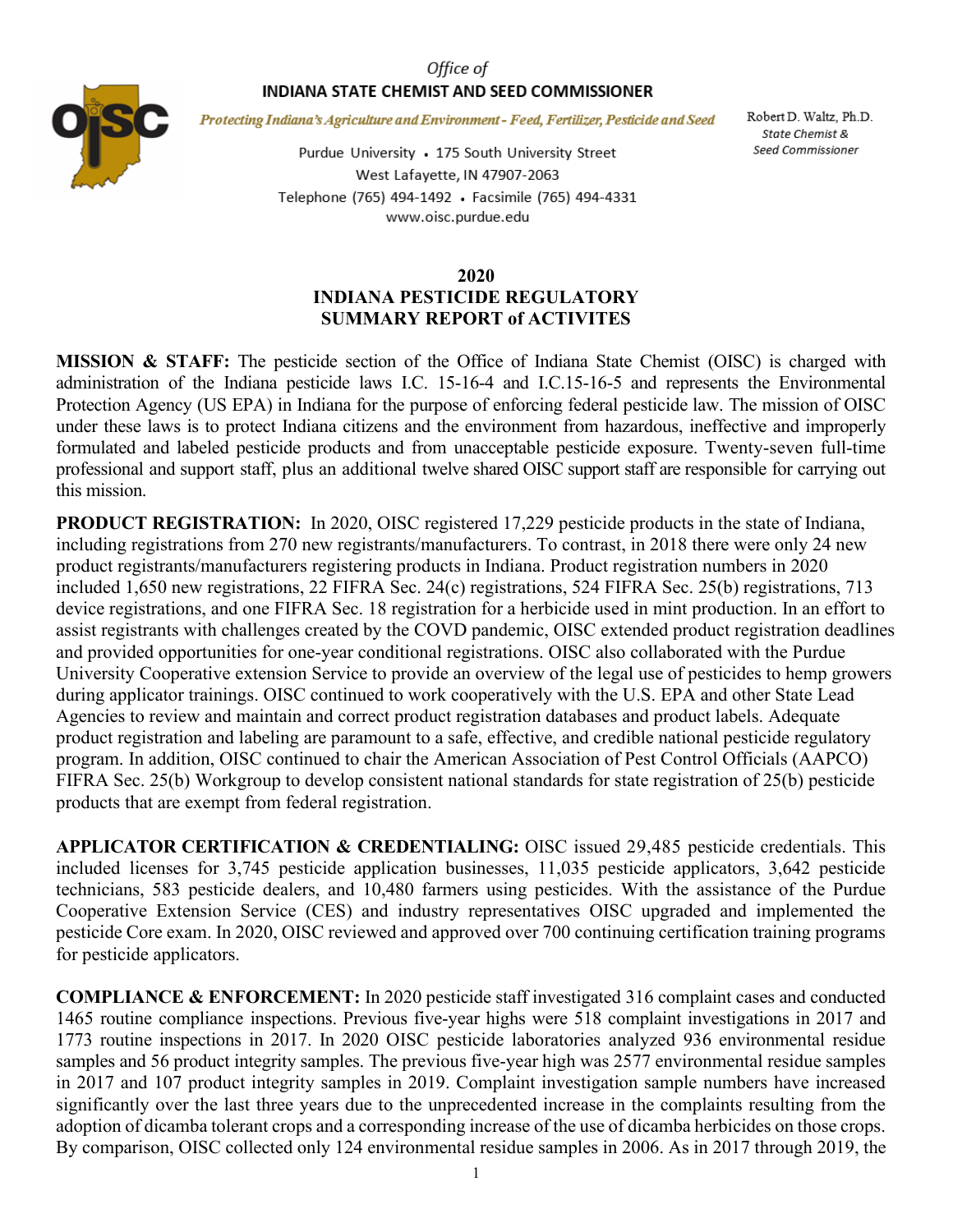## Office of INDIANA STATE CHEMIST AND SEED COMMISSIONER



Protecting Indiana's Agriculture and Environment - Feed, Fertilizer, Pesticide and Seed

Purdue University • 175 South University Street West Lafayette, IN 47907-2063 Telephone (765) 494-1492 · Facsimile (765) 494-4331 www.oisc.purdue.edu

Robert D. Waltz, Ph.D. State Chemist & Seed Commissioner

## **2020 INDIANA PESTICIDE REGULATORY SUMMARY REPORT of ACTIVITES**

**MISSION & STAFF:** The pesticide section of the Office of Indiana State Chemist (OISC) is charged with administration of the Indiana pesticide laws I.C. 15-16-4 and I.C.15-16-5 and represents the Environmental Protection Agency (US EPA) in Indiana for the purpose of enforcing federal pesticide law. The mission of OISC under these laws is to protect Indiana citizens and the environment from hazardous, ineffective and improperly formulated and labeled pesticide products and from unacceptable pesticide exposure. Twenty-seven full-time professional and support staff, plus an additional twelve shared OISC support staff are responsible for carrying out this mission.

**PRODUCT REGISTRATION:** In 2020, OISC registered 17,229 pesticide products in the state of Indiana, including registrations from 270 new registrants/manufacturers. To contrast, in 2018 there were only 24 new product registrants/manufacturers registering products in Indiana. Product registration numbers in 2020 included 1,650 new registrations, 22 FIFRA Sec. 24(c) registrations, 524 FIFRA Sec. 25(b) registrations, 713 device registrations, and one FIFRA Sec. 18 registration for a herbicide used in mint production. In an effort to assist registrants with challenges created by the COVD pandemic, OISC extended product registration deadlines and provided opportunities for one-year conditional registrations. OISC also collaborated with the Purdue University Cooperative extension Service to provide an overview of the legal use of pesticides to hemp growers during applicator trainings. OISC continued to work cooperatively with the U.S. EPA and other State Lead Agencies to review and maintain and correct product registration databases and product labels. Adequate product registration and labeling are paramount to a safe, effective, and credible national pesticide regulatory program. In addition, OISC continued to chair the American Association of Pest Control Officials (AAPCO) FIFRA Sec. 25(b) Workgroup to develop consistent national standards for state registration of 25(b) pesticide products that are exempt from federal registration.

**APPLICATOR CERTIFICATION & CREDENTIALING:** OISC issued 29,485 pesticide credentials. This included licenses for 3,745 pesticide application businesses, 11,035 pesticide applicators, 3,642 pesticide technicians, 583 pesticide dealers, and 10,480 farmers using pesticides. With the assistance of the Purdue Cooperative Extension Service (CES) and industry representatives OISC upgraded and implemented the pesticide Core exam. In 2020, OISC reviewed and approved over 700 continuing certification training programs for pesticide applicators.

**COMPLIANCE & ENFORCEMENT:** In 2020 pesticide staff investigated 316 complaint cases and conducted 1465 routine compliance inspections. Previous five-year highs were 518 complaint investigations in 2017 and 1773 routine inspections in 2017. In 2020 OISC pesticide laboratories analyzed 936 environmental residue samples and 56 product integrity samples. The previous five-year high was 2577 environmental residue samples in 2017 and 107 product integrity samples in 2019. Complaint investigation sample numbers have increased significantly over the last three years due to the unprecedented increase in the complaints resulting from the adoption of dicamba tolerant crops and a corresponding increase of the use of dicamba herbicides on those crops. By comparison, OISC collected only 124 environmental residue samples in 2006. As in 2017 through 2019, the